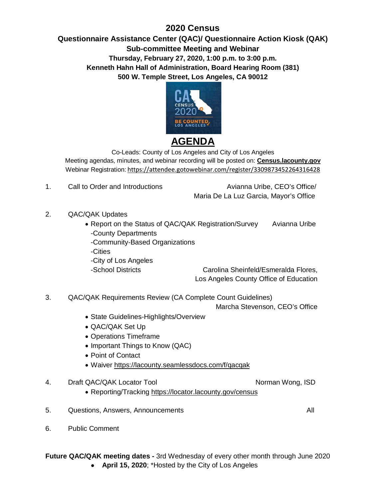## **2020 Census**

## **Questionnaire Assistance Center (QAC)/ Questionnaire Action Kiosk (QAK) Sub-committee Meeting and Webinar Thursday, February 27, 2020, 1:00 p.m. to 3:00 p.m. Kenneth Hahn Hall of Administration, Board Hearing Room (381) 500 W. Temple Street, Los Angeles, CA 90012**



Co-Leads: County of Los Angeles and City of Los Angeles Meeting agendas, minutes, and webinar recording will be posted on: **Census.lacounty.gov** Webinar Registration: <https://attendee.gotowebinar.com/register/3309873452264316428>

1. Call to Order and Introductions The Call to Order and Introductions Avianna Uribe, CEO's Office/

Maria De La Luz Garcia, Mayor's Office

- 2. QAC/QAK Updates
	- Report on the Status of QAC/QAK Registration/Survey Avianna Uribe -County Departments
		- -Community-Based Organizations
		- -Cities
		- -City of Los Angeles

-School Districts Carolina Sheinfeld/Esmeralda Flores, Los Angeles County Office of Education

3. QAC/QAK Requirements Review (CA Complete Count Guidelines)

Marcha Stevenson, CEO's Office

- State Guidelines-Highlights/Overview
- QAC/QAK Set Up
- Operations Timeframe
- Important Things to Know (QAC)
- Point of Contact
- Waiver <https://lacounty.seamlessdocs.com/f/qacqak>
- 4. Draft QAC/QAK Locator Tool Norman Wong, ISD
	- Reporting/Tracking <https://locator.lacounty.gov/census>
- 5. Questions, Answers, Announcements All

6. Public Comment

**Future QAC/QAK meeting dates -** 3rd Wednesday of every other month through June 2020 ● **April 15, 2020**; \*Hosted by the City of Los Angeles